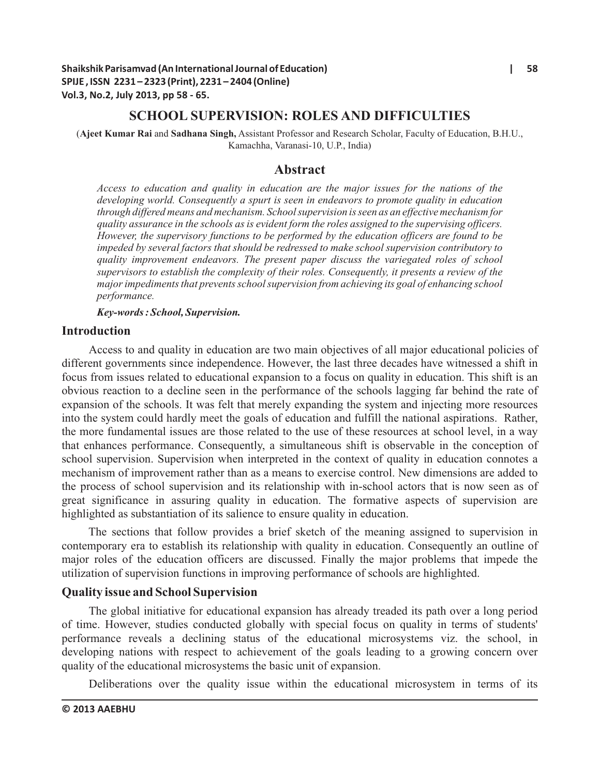# **SCHOOL SUPERVISION: ROLES AND DIFFICULTIES**

(**Ajeet Kumar Rai** and **Sadhana Singh,** Assistant Professor and Research Scholar, Faculty of Education, B.H.U., Kamachha, Varanasi-10, U.P., India)

# **Abstract**

*Access to education and quality in education are the major issues for the nations of the developing world. Consequently a spurt is seen in endeavors to promote quality in education through differed means and mechanism. School supervision is seen as an effective mechanism for quality assurance in the schools as is evident form the roles assigned to the supervising officers. However, the supervisory functions to be performed by the education officers are found to be impeded by several factors that should be redressed to make school supervision contributory to quality improvement endeavors. The present paper discuss the variegated roles of school supervisors to establish the complexity of their roles. Consequently, it presents a review of the major impediments that prevents school supervision from achieving its goal of enhancing school performance.*

*Key-words : School, Supervision.*

# **Introduction**

Access to and quality in education are two main objectives of all major educational policies of different governments since independence. However, the last three decades have witnessed a shift in focus from issues related to educational expansion to a focus on quality in education. This shift is an obvious reaction to a decline seen in the performance of the schools lagging far behind the rate of expansion of the schools. It was felt that merely expanding the system and injecting more resources into the system could hardly meet the goals of education and fulfill the national aspirations. Rather, the more fundamental issues are those related to the use of these resources at school level, in a way that enhances performance. Consequently, a simultaneous shift is observable in the conception of school supervision. Supervision when interpreted in the context of quality in education connotes a mechanism of improvement rather than as a means to exercise control. New dimensions are added to the process of school supervision and its relationship with in-school actors that is now seen as of great significance in assuring quality in education. The formative aspects of supervision are highlighted as substantiation of its salience to ensure quality in education.

The sections that follow provides a brief sketch of the meaning assigned to supervision in contemporary era to establish its relationship with quality in education. Consequently an outline of major roles of the education officers are discussed. Finally the major problems that impede the utilization of supervision functions in improving performance of schools are highlighted.

## **Quality issue and School Supervision**

The global initiative for educational expansion has already treaded its path over a long period of time. However, studies conducted globally with special focus on quality in terms of students' performance reveals a declining status of the educational microsystems viz. the school, in developing nations with respect to achievement of the goals leading to a growing concern over quality of the educational microsystems the basic unit of expansion.

Deliberations over the quality issue within the educational microsystem in terms of its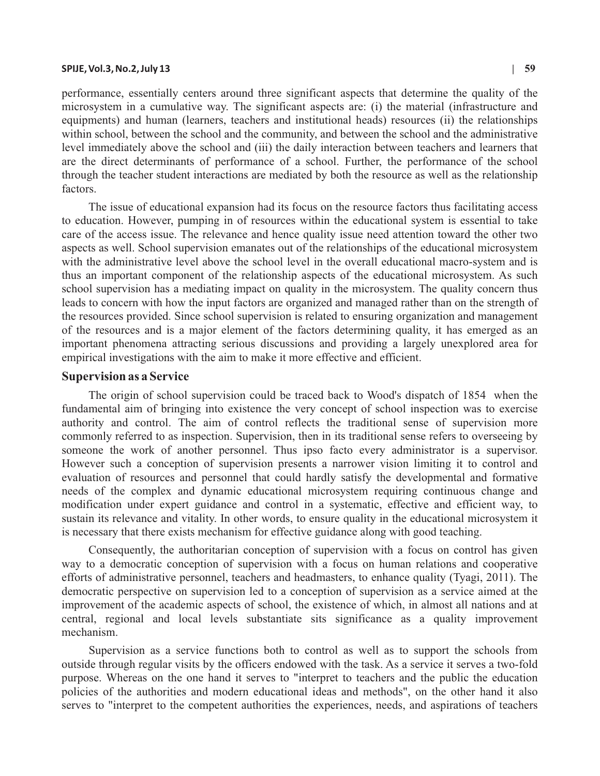#### **SPIJE, Vol.3, No.2, July 13 | 59**

performance, essentially centers around three significant aspects that determine the quality of the microsystem in a cumulative way. The significant aspects are: (i) the material (infrastructure and equipments) and human (learners, teachers and institutional heads) resources (ii) the relationships within school, between the school and the community, and between the school and the administrative level immediately above the school and (iii) the daily interaction between teachers and learners that are the direct determinants of performance of a school. Further, the performance of the school through the teacher student interactions are mediated by both the resource as well as the relationship factors.

The issue of educational expansion had its focus on the resource factors thus facilitating access to education. However, pumping in of resources within the educational system is essential to take care of the access issue. The relevance and hence quality issue need attention toward the other two aspects as well. School supervision emanates out of the relationships of the educational microsystem with the administrative level above the school level in the overall educational macro-system and is thus an important component of the relationship aspects of the educational microsystem. As such school supervision has a mediating impact on quality in the microsystem. The quality concern thus leads to concern with how the input factors are organized and managed rather than on the strength of the resources provided. Since school supervision is related to ensuring organization and management of the resources and is a major element of the factors determining quality, it has emerged as an important phenomena attracting serious discussions and providing a largely unexplored area for empirical investigations with the aim to make it more effective and efficient.

#### **Supervision as a Service**

The origin of school supervision could be traced back to Wood's dispatch of 1854 when the fundamental aim of bringing into existence the very concept of school inspection was to exercise authority and control. The aim of control reflects the traditional sense of supervision more commonly referred to as inspection. Supervision, then in its traditional sense refers to overseeing by someone the work of another personnel. Thus ipso facto every administrator is a supervisor. However such a conception of supervision presents a narrower vision limiting it to control and evaluation of resources and personnel that could hardly satisfy the developmental and formative needs of the complex and dynamic educational microsystem requiring continuous change and modification under expert guidance and control in a systematic, effective and efficient way, to sustain its relevance and vitality. In other words, to ensure quality in the educational microsystem it is necessary that there exists mechanism for effective guidance along with good teaching.

Consequently, the authoritarian conception of supervision with a focus on control has given way to a democratic conception of supervision with a focus on human relations and cooperative efforts of administrative personnel, teachers and headmasters, to enhance quality (Tyagi, 2011). The democratic perspective on supervision led to a conception of supervision as a service aimed at the improvement of the academic aspects of school, the existence of which, in almost all nations and at central, regional and local levels substantiate sits significance as a quality improvement mechanism.

Supervision as a service functions both to control as well as to support the schools from outside through regular visits by the officers endowed with the task. As a service it serves a two-fold purpose. Whereas on the one hand it serves to "interpret to teachers and the public the education policies of the authorities and modern educational ideas and methods", on the other hand it also serves to "interpret to the competent authorities the experiences, needs, and aspirations of teachers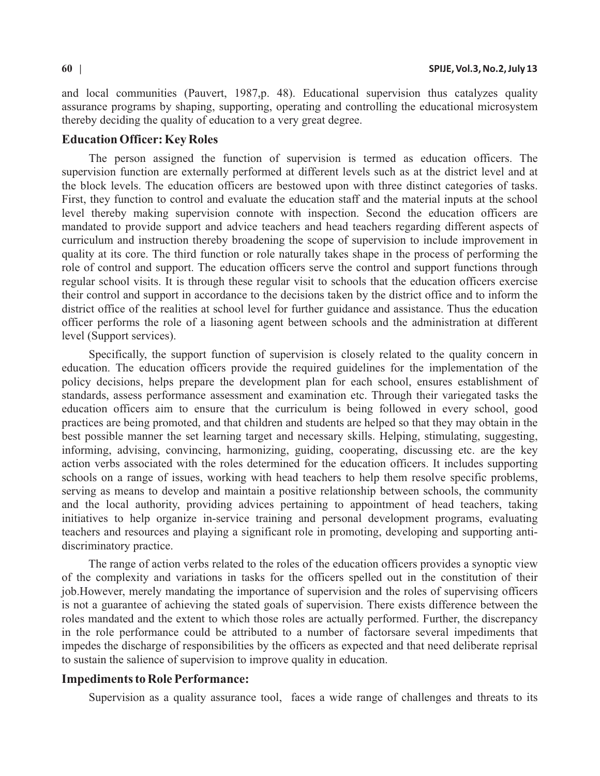and local communities (Pauvert, 1987,p. 48). Educational supervision thus catalyzes quality assurance programs by shaping, supporting, operating and controlling the educational microsystem thereby deciding the quality of education to a very great degree.

#### **Education Officer: Key Roles**

The person assigned the function of supervision is termed as education officers. The supervision function are externally performed at different levels such as at the district level and at the block levels. The education officers are bestowed upon with three distinct categories of tasks. First, they function to control and evaluate the education staff and the material inputs at the school level thereby making supervision connote with inspection. Second the education officers are mandated to provide support and advice teachers and head teachers regarding different aspects of curriculum and instruction thereby broadening the scope of supervision to include improvement in quality at its core. The third function or role naturally takes shape in the process of performing the role of control and support. The education officers serve the control and support functions through regular school visits. It is through these regular visit to schools that the education officers exercise their control and support in accordance to the decisions taken by the district office and to inform the district office of the realities at school level for further guidance and assistance. Thus the education officer performs the role of a liasoning agent between schools and the administration at different level (Support services).

Specifically, the support function of supervision is closely related to the quality concern in education. The education officers provide the required guidelines for the implementation of the policy decisions, helps prepare the development plan for each school, ensures establishment of standards, assess performance assessment and examination etc. Through their variegated tasks the education officers aim to ensure that the curriculum is being followed in every school, good practices are being promoted, and that children and students are helped so that they may obtain in the best possible manner the set learning target and necessary skills. Helping, stimulating, suggesting, informing, advising, convincing, harmonizing, guiding, cooperating, discussing etc. are the key action verbs associated with the roles determined for the education officers. It includes supporting schools on a range of issues, working with head teachers to help them resolve specific problems, serving as means to develop and maintain a positive relationship between schools, the community and the local authority, providing advices pertaining to appointment of head teachers, taking initiatives to help organize in-service training and personal development programs, evaluating teachers and resources and playing a significant role in promoting, developing and supporting antidiscriminatory practice.

The range of action verbs related to the roles of the education officers provides a synoptic view of the complexity and variations in tasks for the officers spelled out in the constitution of their job.However, merely mandating the importance of supervision and the roles of supervising officers is not a guarantee of achieving the stated goals of supervision. There exists difference between the roles mandated and the extent to which those roles are actually performed. Further, the discrepancy in the role performance could be attributed to a number of factorsare several impediments that impedes the discharge of responsibilities by the officers as expected and that need deliberate reprisal to sustain the salience of supervision to improve quality in education.

# **Impediments to Role Performance:**

Supervision as a quality assurance tool, faces a wide range of challenges and threats to its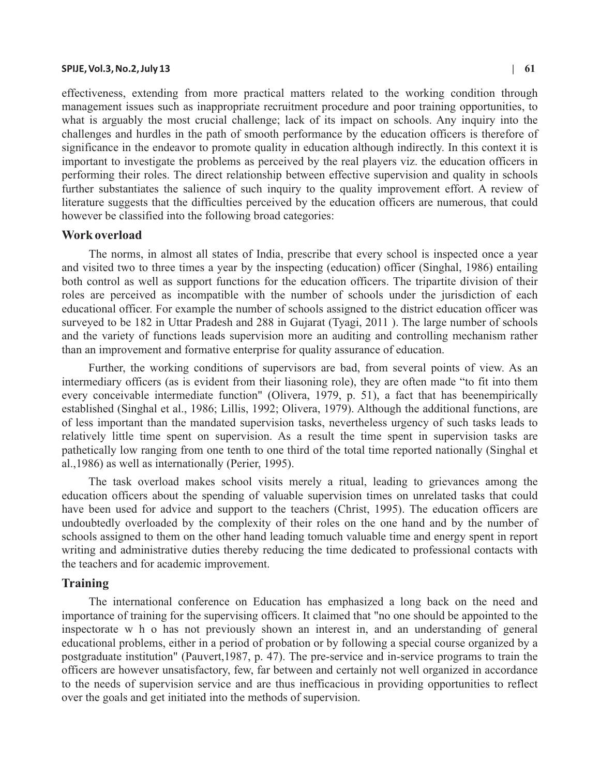#### **SPIJE, Vol.3, No.2, July 13 | 61**

effectiveness, extending from more practical matters related to the working condition through management issues such as inappropriate recruitment procedure and poor training opportunities, to what is arguably the most crucial challenge; lack of its impact on schools. Any inquiry into the challenges and hurdles in the path of smooth performance by the education officers is therefore of significance in the endeavor to promote quality in education although indirectly. In this context it is important to investigate the problems as perceived by the real players viz. the education officers in performing their roles. The direct relationship between effective supervision and quality in schools further substantiates the salience of such inquiry to the quality improvement effort. A review of literature suggests that the difficulties perceived by the education officers are numerous, that could however be classified into the following broad categories:

#### **Work overload**

The norms, in almost all states of India, prescribe that every school is inspected once a year and visited two to three times a year by the inspecting (education) officer (Singhal, 1986) entailing both control as well as support functions for the education officers. The tripartite division of their roles are perceived as incompatible with the number of schools under the jurisdiction of each educational officer. For example the number of schools assigned to the district education officer was surveyed to be 182 in Uttar Pradesh and 288 in Gujarat (Tyagi, 2011 ). The large number of schools and the variety of functions leads supervision more an auditing and controlling mechanism rather than an improvement and formative enterprise for quality assurance of education.

Further, the working conditions of supervisors are bad, from several points of view. As an intermediary officers (as is evident from their liasoning role), they are often made "to fit into them every conceivable intermediate function" (Olivera, 1979, p. 51), a fact that has beenempirically established (Singhal et al., 1986; Lillis, 1992; Olivera, 1979). Although the additional functions, are of less important than the mandated supervision tasks, nevertheless urgency of such tasks leads to relatively little time spent on supervision. As a result the time spent in supervision tasks are pathetically low ranging from one tenth to one third of the total time reported nationally (Singhal et al.,1986) as well as internationally (Perier, 1995).

The task overload makes school visits merely a ritual, leading to grievances among the education officers about the spending of valuable supervision times on unrelated tasks that could have been used for advice and support to the teachers (Christ, 1995). The education officers are undoubtedly overloaded by the complexity of their roles on the one hand and by the number of schools assigned to them on the other hand leading tomuch valuable time and energy spent in report writing and administrative duties thereby reducing the time dedicated to professional contacts with the teachers and for academic improvement.

## **Training**

The international conference on Education has emphasized a long back on the need and importance of training for the supervising officers. It claimed that "no one should be appointed to the inspectorate w h o has not previously shown an interest in, and an understanding of general educational problems, either in a period of probation or by following a special course organized by a postgraduate institution" (Pauvert,1987, p. 47). The pre-service and in-service programs to train the officers are however unsatisfactory, few, far between and certainly not well organized in accordance to the needs of supervision service and are thus inefficacious in providing opportunities to reflect over the goals and get initiated into the methods of supervision.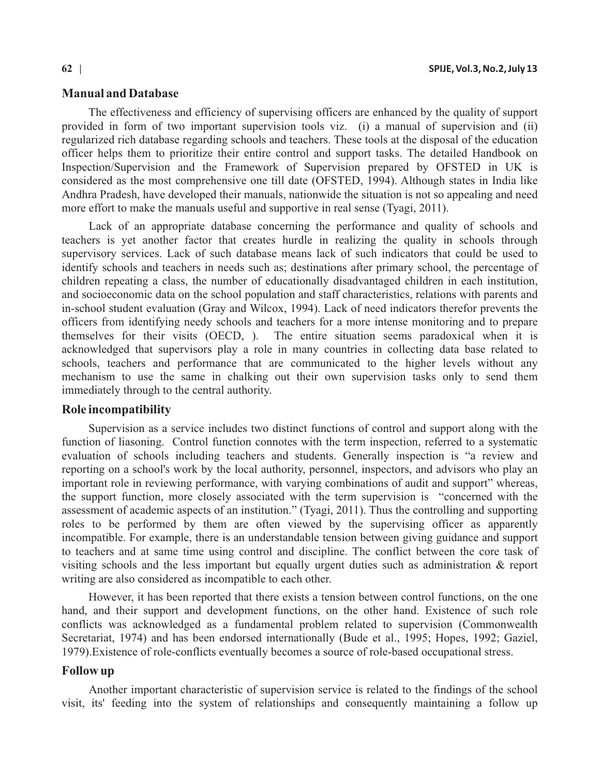# **Manual and Database**

The effectiveness and efficiency of supervising officers are enhanced by the quality of support provided in form of two important supervision tools viz. (i) a manual of supervision and (ii) regularized rich database regarding schools and teachers. These tools at the disposal of the education officer helps them to prioritize their entire control and support tasks. The detailed Handbook on Inspection/Supervision and the Framework of Supervision prepared by OFSTED in UK is considered as the most comprehensive one till date (OFSTED, 1994). Although states in India like Andhra Pradesh, have developed their manuals, nationwide the situation is not so appealing and need more effort to make the manuals useful and supportive in real sense (Tyagi, 2011).

Lack of an appropriate database concerning the performance and quality of schools and teachers is yet another factor that creates hurdle in realizing the quality in schools through supervisory services. Lack of such database means lack of such indicators that could be used to identify schools and teachers in needs such as; destinations after primary school, the percentage of children repeating a class, the number of educationally disadvantaged children in each institution, and socioeconomic data on the school population and staff characteristics, relations with parents and in-school student evaluation (Gray and Wilcox, 1994). Lack of need indicators therefor prevents the officers from identifying needy schools and teachers for a more intense monitoring and to prepare themselves for their visits (OECD, ). The entire situation seems paradoxical when it is acknowledged that supervisors play a role in many countries in collecting data base related to schools, teachers and performance that are communicated to the higher levels without any mechanism to use the same in chalking out their own supervision tasks only to send them immediately through to the central authority.

# **Role incompatibility**

Supervision as a service includes two distinct functions of control and support along with the function of liasoning. Control function connotes with the term inspection, referred to a systematic evaluation of schools including teachers and students. Generally inspection is "a review and reporting on a school's work by the local authority, personnel, inspectors, and advisors who play an important role in reviewing performance, with varying combinations of audit and support" whereas, the support function, more closely associated with the term supervision is "concerned with the assessment of academic aspects of an institution." (Tyagi, 2011). Thus the controlling and supporting roles to be performed by them are often viewed by the supervising officer as apparently incompatible. For example, there is an understandable tension between giving guidance and support to teachers and at same time using control and discipline. The conflict between the core task of visiting schools and the less important but equally urgent duties such as administration & report writing are also considered as incompatible to each other.

However, it has been reported that there exists a tension between control functions, on the one hand, and their support and development functions, on the other hand. Existence of such role conflicts was acknowledged as a fundamental problem related to supervision (Commonwealth Secretariat, 1974) and has been endorsed internationally (Bude et al., 1995; Hopes, 1992; Gaziel, 1979).Existence of role-conflicts eventually becomes a source of role-based occupational stress.

# **Follow up**

Another important characteristic of supervision service is related to the findings of the school visit, its' feeding into the system of relationships and consequently maintaining a follow up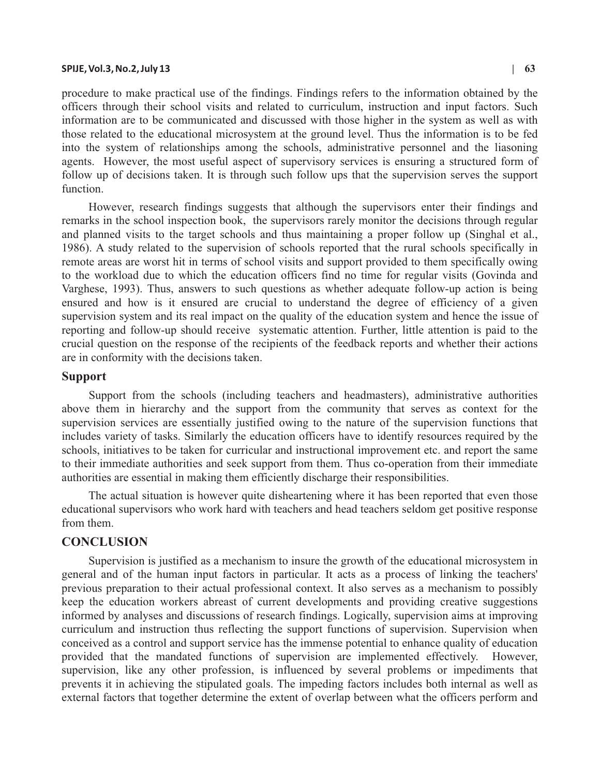#### **SPIJE, Vol.3, No.2, July 13 | 63**

procedure to make practical use of the findings. Findings refers to the information obtained by the officers through their school visits and related to curriculum, instruction and input factors. Such information are to be communicated and discussed with those higher in the system as well as with those related to the educational microsystem at the ground level. Thus the information is to be fed into the system of relationships among the schools, administrative personnel and the liasoning agents. However, the most useful aspect of supervisory services is ensuring a structured form of follow up of decisions taken. It is through such follow ups that the supervision serves the support function.

However, research findings suggests that although the supervisors enter their findings and remarks in the school inspection book, the supervisors rarely monitor the decisions through regular and planned visits to the target schools and thus maintaining a proper follow up (Singhal et al., 1986). A study related to the supervision of schools reported that the rural schools specifically in remote areas are worst hit in terms of school visits and support provided to them specifically owing to the workload due to which the education officers find no time for regular visits (Govinda and Varghese, 1993). Thus, answers to such questions as whether adequate follow-up action is being ensured and how is it ensured are crucial to understand the degree of efficiency of a given supervision system and its real impact on the quality of the education system and hence the issue of reporting and follow-up should receive systematic attention. Further, little attention is paid to the crucial question on the response of the recipients of the feedback reports and whether their actions are in conformity with the decisions taken.

# **Support**

Support from the schools (including teachers and headmasters), administrative authorities above them in hierarchy and the support from the community that serves as context for the supervision services are essentially justified owing to the nature of the supervision functions that includes variety of tasks. Similarly the education officers have to identify resources required by the schools, initiatives to be taken for curricular and instructional improvement etc. and report the same to their immediate authorities and seek support from them. Thus co-operation from their immediate authorities are essential in making them efficiently discharge their responsibilities.

The actual situation is however quite disheartening where it has been reported that even those educational supervisors who work hard with teachers and head teachers seldom get positive response from them.

### **CONCLUSION**

Supervision is justified as a mechanism to insure the growth of the educational microsystem in general and of the human input factors in particular. It acts as a process of linking the teachers' previous preparation to their actual professional context. It also serves as a mechanism to possibly keep the education workers abreast of current developments and providing creative suggestions informed by analyses and discussions of research findings. Logically, supervision aims at improving curriculum and instruction thus reflecting the support functions of supervision. Supervision when conceived as a control and support service has the immense potential to enhance quality of education provided that the mandated functions of supervision are implemented effectively. However, supervision, like any other profession, is influenced by several problems or impediments that prevents it in achieving the stipulated goals. The impeding factors includes both internal as well as external factors that together determine the extent of overlap between what the officers perform and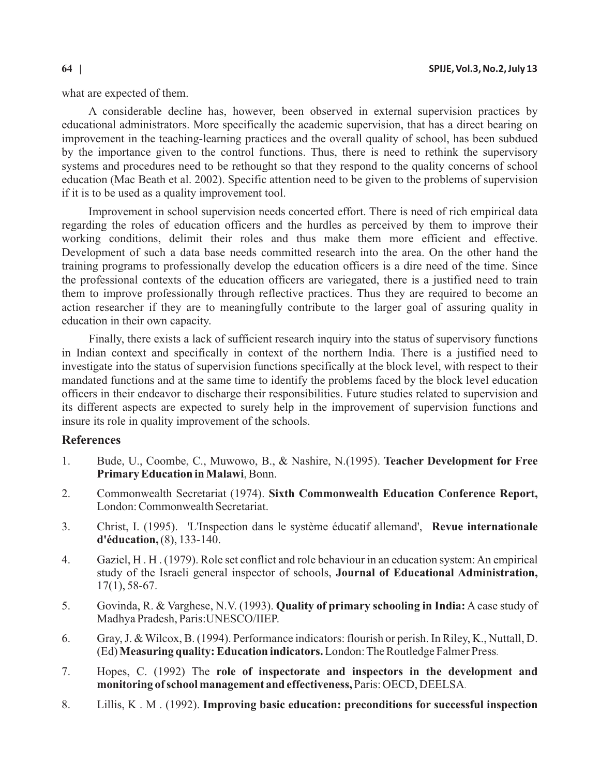what are expected of them.

A considerable decline has, however, been observed in external supervision practices by educational administrators. More specifically the academic supervision, that has a direct bearing on improvement in the teaching-learning practices and the overall quality of school, has been subdued by the importance given to the control functions. Thus, there is need to rethink the supervisory systems and procedures need to be rethought so that they respond to the quality concerns of school education (Mac Beath et al. 2002). Specific attention need to be given to the problems of supervision if it is to be used as a quality improvement tool.

Improvement in school supervision needs concerted effort. There is need of rich empirical data regarding the roles of education officers and the hurdles as perceived by them to improve their working conditions, delimit their roles and thus make them more efficient and effective. Development of such a data base needs committed research into the area. On the other hand the training programs to professionally develop the education officers is a dire need of the time. Since the professional contexts of the education officers are variegated, there is a justified need to train them to improve professionally through reflective practices. Thus they are required to become an action researcher if they are to meaningfully contribute to the larger goal of assuring quality in education in their own capacity.

Finally, there exists a lack of sufficient research inquiry into the status of supervisory functions in Indian context and specifically in context of the northern India. There is a justified need to investigate into the status of supervision functions specifically at the block level, with respect to their mandated functions and at the same time to identify the problems faced by the block level education officers in their endeavor to discharge their responsibilities. Future studies related to supervision and its different aspects are expected to surely help in the improvement of supervision functions and insure its role in quality improvement of the schools.

# **References**

- 1. Bude, U., Coombe, C., Muwowo, B., & Nashire, N.(1995). **Teacher Development for Free Primary Education in Malawi**, Bonn.
- 2. Commonwealth Secretariat (1974). **Sixth Commonwealth Education Conference Report,** London: Commonwealth Secretariat.
- 3. Christ, I. (1995). 'L'Inspection dans le système éducatif allemand', **Revue internationale d'éducation,** (8), 133-140.
- 4. Gaziel, H . H . (1979). Role set conflict and role behaviour in an education system: An empirical study of the Israeli general inspector of schools, **Journal of Educational Administration,** 17(1), 58-67.
- 5. Govinda, R. & Varghese, N.V. (1993). **Quality of primary schooling in India:** A case study of Madhya Pradesh, Paris:UNESCO/IIEP.
- 6. Gray, J. & Wilcox, B. (1994). Performance indicators: flourish or perish. In Riley, K., Nuttall, D. (Ed) **Measuring quality: Education indicators.**London: The Routledge Falmer Press.
- 7. Hopes, C. (1992) The role of inspectorate and inspectors in the development and **monitoring of school management and effectiveness,** Paris: OECD, DEELSA.
- 8. Lillis, K . M . (1992). **Improving basic education: preconditions for successful inspection**